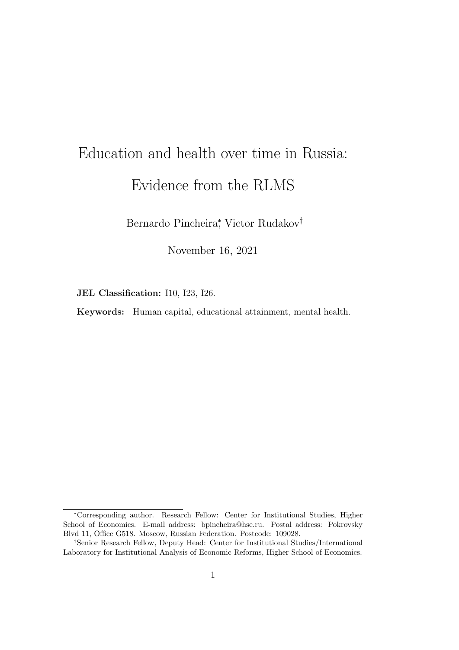## Education and health over time in Russia: Evidence from the RLMS

Bernardo Pincheira<sup>\*</sup>, Victor Rudakov<sup>†</sup>

November 16, 2021

JEL Classification: I10, I23, I26.

Keywords: Human capital, educational attainment, mental health.

<sup>\*</sup>Corresponding author. Research Fellow: Center for Institutional Studies, Higher School of Economics. E-mail address: bpincheira@hse.ru. Postal address: Pokrovsky Blvd 11, Office G518. Moscow, Russian Federation. Postcode: 109028.

Senior Research Fellow, Deputy Head: Center for Institutional Studies/International Laboratory for Institutional Analysis of Economic Reforms, Higher School of Economics.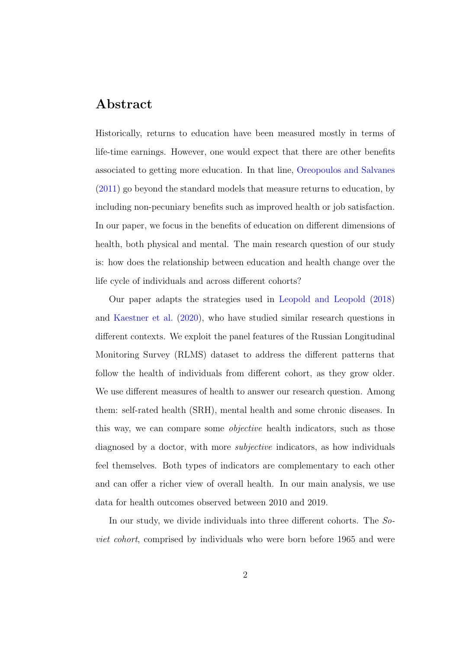## Abstract

Historically, returns to education have been measured mostly in terms of life-time earnings. However, one would expect that there are other benefits associated to getting more education. In that line, [Oreopoulos and Salvanes](#page-4-0) [\(2011\)](#page-4-0) go beyond the standard models that measure returns to education, by including non-pecuniary benefits such as improved health or job satisfaction. In our paper, we focus in the benefits of education on different dimensions of health, both physical and mental. The main research question of our study is: how does the relationship between education and health change over the life cycle of individuals and across different cohorts?

Our paper adapts the strategies used in [Leopold and Leopold](#page-4-1) [\(2018\)](#page-4-1) and [Kaestner et al.](#page-4-2) [\(2020\)](#page-4-2), who have studied similar research questions in different contexts. We exploit the panel features of the Russian Longitudinal Monitoring Survey (RLMS) dataset to address the different patterns that follow the health of individuals from different cohort, as they grow older. We use different measures of health to answer our research question. Among them: self-rated health (SRH), mental health and some chronic diseases. In this way, we can compare some objective health indicators, such as those diagnosed by a doctor, with more *subjective* indicators, as how individuals feel themselves. Both types of indicators are complementary to each other and can offer a richer view of overall health. In our main analysis, we use data for health outcomes observed between 2010 and 2019.

In our study, we divide individuals into three different cohorts. The Soviet cohort, comprised by individuals who were born before 1965 and were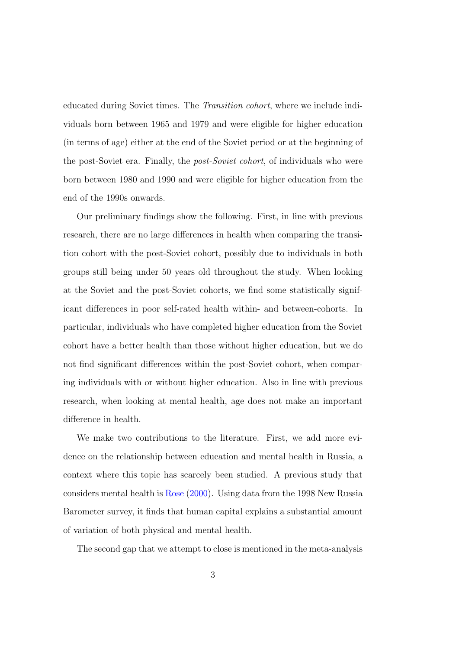educated during Soviet times. The Transition cohort, where we include individuals born between 1965 and 1979 and were eligible for higher education (in terms of age) either at the end of the Soviet period or at the beginning of the post-Soviet era. Finally, the post-Soviet cohort, of individuals who were born between 1980 and 1990 and were eligible for higher education from the end of the 1990s onwards.

Our preliminary findings show the following. First, in line with previous research, there are no large differences in health when comparing the transition cohort with the post-Soviet cohort, possibly due to individuals in both groups still being under 50 years old throughout the study. When looking at the Soviet and the post-Soviet cohorts, we find some statistically significant differences in poor self-rated health within- and between-cohorts. In particular, individuals who have completed higher education from the Soviet cohort have a better health than those without higher education, but we do not find significant differences within the post-Soviet cohort, when comparing individuals with or without higher education. Also in line with previous research, when looking at mental health, age does not make an important difference in health.

We make two contributions to the literature. First, we add more evidence on the relationship between education and mental health in Russia, a context where this topic has scarcely been studied. A previous study that considers mental health is [Rose](#page-4-3) [\(2000\)](#page-4-3). Using data from the 1998 New Russia Barometer survey, it finds that human capital explains a substantial amount of variation of both physical and mental health.

The second gap that we attempt to close is mentioned in the meta-analysis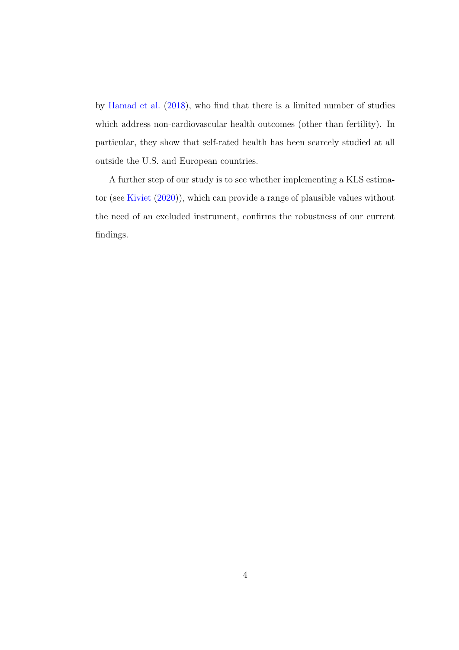by [Hamad et al.](#page-4-4) [\(2018\)](#page-4-4), who find that there is a limited number of studies which address non-cardiovascular health outcomes (other than fertility). In particular, they show that self-rated health has been scarcely studied at all outside the U.S. and European countries.

A further step of our study is to see whether implementing a KLS estimator (see [Kiviet](#page-4-5) [\(2020\)](#page-4-5)), which can provide a range of plausible values without the need of an excluded instrument, confirms the robustness of our current findings.